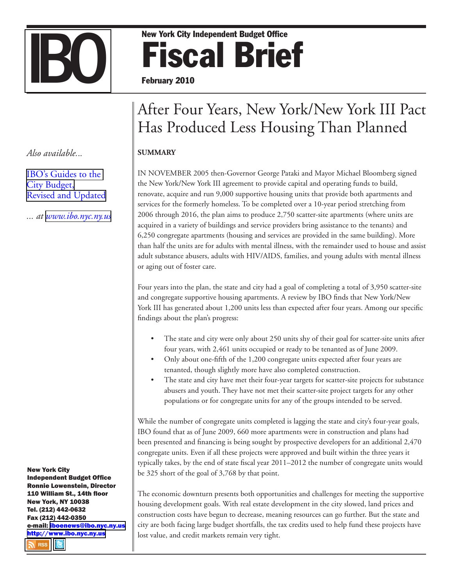# New York City Independent Budget Office<br>
February 2010 Fiscal Brief February 2010

## After Four Years, New York/New York III Pact Has Produced Less Housing Than Planned

#### **SUMMARY**

IN NOVEMBER 2005 then-Governor George Pataki and Mayor Michael Bloomberg signed the New York/New York III agreement to provide capital and operating funds to build, renovate, acquire and run 9,000 supportive housing units that provide both apartments and services for the formerly homeless. To be completed over a 10-year period stretching from 2006 through 2016, the plan aims to produce 2,750 scatter-site apartments (where units are acquired in a variety of buildings and service providers bring assistance to the tenants) and 6,250 congregate apartments (housing and services are provided in the same building). More than half the units are for adults with mental illness, with the remainder used to house and assist adult substance abusers, adults with HIV/AIDS, families, and young adults with mental illness or aging out of foster care.

Four years into the plan, the state and city had a goal of completing a total of 3,950 scatter-site and congregate supportive housing apartments. A review by IBO finds that New York/New York III has generated about 1,200 units less than expected after four years. Among our specific findings about the plan's progress:

- The state and city were only about 250 units shy of their goal for scatter-site units after four years, with 2,461 units occupied or ready to be tenanted as of June 2009. •
- Only about one-fifth of the 1,200 congregate units expected after four years are tenanted, though slightly more have also completed construction. •
- The state and city have met their four-year targets for scatter-site projects for substance abusers and youth. They have not met their scatter-site project targets for any other populations or for congregate units for any of the groups intended to be served. •

While the number of congregate units completed is lagging the state and city's four-year goals, IBO found that as of June 2009, 660 more apartments were in construction and plans had been presented and financing is being sought by prospective developers for an additional 2,470 congregate units. Even if all these projects were approved and built within the three years it typically takes, by the end of state fiscal year 2011–2012 the number of congregate units would be 325 short of the goal of 3,768 by that point.

The economic downturn presents both opportunities and challenges for meeting the supportive housing development goals. With real estate development in the city slowed, land prices and construction costs have begun to decrease, meaning resources can go further. But the state and city are both facing large budget shortfalls, the tax credits used to help fund these projects have lost value, and credit markets remain very tight.

*Also available.*..

[IBO's Guides to the](http://www.ibo.nyc.ny.us/budgetBasics.html)  [City Budget,](http://www.ibo.nyc.ny.us/budgetBasics.html) [Revised and Updated](http://www.ibo.nyc.ny.us/budgetBasics.html)

*... at [www.ibo.nyc.ny.us](http://www.ibo.nyc.ny.us)*

New York City Independent Budget Office Ronnie Lowenstein, Director 110 William St., 14th floor New York, NY 10038 Tel. (212) 442-0632 Fax (212) 442-0350 e-mail: [iboenews@ibo.nyc.ny.u](mailto:iboenews@ibo.nyc.ny.us)s [http://www.ibo.nyc.ny.u](www.ibo.nyc.ny.us/iboreports/bridgetolls.pdf)s**N** RSS **IB**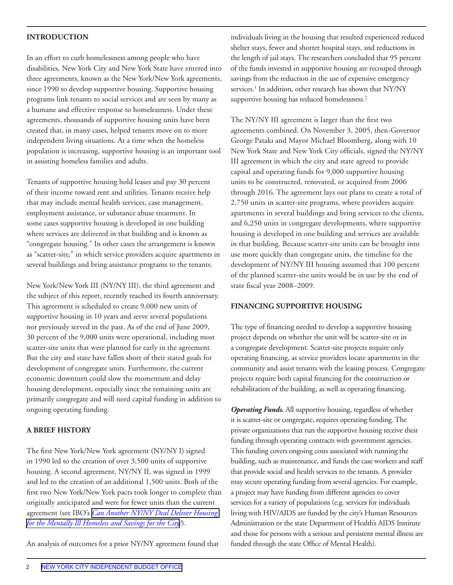#### **INTRODUCTION**

In an effort to curb homelessness among people who have disabilities, New York City and New York State have entered into three agreements, known as the New York/New York agreements, since 1990 to develop supportive housing. Supportive housing programs link tenants to social services and are seen by many as a humane and effective response to homelessness. Under these agreements, thousands of supportive housing units have been created that, in many cases, helped tenants move on to more independent living situations. At a time when the homeless population is increasing, supportive housing is an important tool in assisting homeless families and adults.

Tenants of supportive housing hold leases and pay 30 percent of their income toward rent and utilities. Tenants receive help that may include mental health services, case management, employment assistance, or substance abuse treatment. In some cases supportive housing is developed in one building where services are delivered in that building and is known as "congregate housing." In other cases the arrangement is known as "scatter-site," in which service providers acquire apartments in several buildings and bring assistance programs to the tenants.

New York/New York III (NY/NY III), the third agreement and the subject of this report, recently reached its fourth anniversary. This agreement is scheduled to create 9,000 new units of supportive housing in 10 years and serve several populations not previously served in the past. As of the end of June 2009, 30 percent of the 9,000 units were operational, including most scatter-site units that were planned for early in the agreement. But the city and state have fallen short of their stated goals for development of congregate units. Furthermore, the current economic downturn could slow the momentum and delay housing development, especially since the remaining units are primarily congregate and will need capital funding in addition to ongoing operating funding.

#### **A BRIEF HISTORY**

The first New York/New York agreement (NY/NY I) signed in 1990 led to the creation of over 3,500 units of supportive housing. A second agreement, NY/NY II, was signed in 1999 and led to the creation of an additional 1,500 units. Both of the first two New York/New York pacts took longer to complete than originally anticipated and were for fewer units than the current agreement (see IBO's *[Can Another NY/NY Deal Deliver Housing](http://www.ibo.nyc.ny.us/newsfax/insidethebudget109.pdf)  [for the Mentally Ill Homeless and Savings for the City](http://www.ibo.nyc.ny.us/newsfax/insidethebudget109.pdf)?*).

An analysis of outcomes for a prior NY/NY agreement found that

individuals living in the housing that resulted experienced reduced shelter stays, fewer and shorter hospital stays, and reductions in the length of jail stays. The researchers concluded that 95 percent of the funds invested in supportive housing are recouped through savings from the reduction in the use of expensive emergency services.<sup>1</sup> In addition, other research has shown that NY/NY supportive housing has reduced homelessness.<sup>2</sup>

The NY/NY III agreement is larger than the first two agreements combined. On November 3, 2005, then-Governor George Pataki and Mayor Michael Bloomberg, along with 10 New York State and New York City officials, signed the NY/NY III agreement in which the city and state agreed to provide capital and operating funds for 9,000 supportive housing units to be constructed, renovated, or acquired from 2006 through 2016. The agreement lays out plans to create a total of 2,750 units in scatter-site programs, where providers acquire apartments in several buildings and bring services to the clients, and 6,250 units in congregate developments, where supportive housing is developed in one building and services are available in that building. Because scatter-site units can be brought into use more quickly than congregate units, the timeline for the development of NY/NY III housing assumed that 100 percent of the planned scatter-site units would be in use by the end of state fiscal year 2008–2009.

#### **FINANCING SUPPORTIVE HOUSING**

The type of financing needed to develop a supportive housing project depends on whether the unit will be scatter-site or in a congregate development. Scatter-site projects require only operating financing, as service providers locate apartments in the community and assist tenants with the leasing process. Congregate projects require both capital financing for the construction or rehabilitation of the building, as well as operating financing.

*Operating Funds.* All supportive housing, regardless of whether it is scatter-site or congregate, requires operating funding. The private organizations that run the supportive housing receive their funding through operating contracts with government agencies. This funding covers ongoing costs associated with running the building, such as maintenance, and funds the case workers and staff that provide social and health services to the tenants. A provider may secure operating funding from several agencies. For example, a project may have funding from different agencies to cover services for a variety of populations (e.g. services for individuals living with HIV/AIDS are funded by the city's Human Resources Administration or the state Department of Health's AIDS Institute and those for persons with a serious and persistent mental illness are funded through the state Office of Mental Health).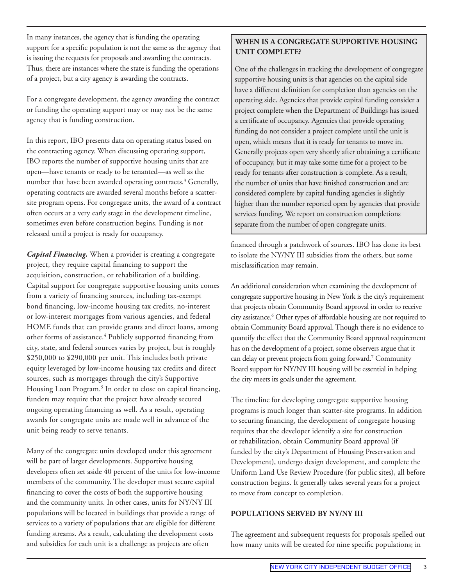In many instances, the agency that is funding the operating support for a specific population is not the same as the agency that is issuing the requests for proposals and awarding the contracts. Thus, there are instances where the state is funding the operations of a project, but a city agency is awarding the contracts.

For a congregate development, the agency awarding the contract or funding the operating support may or may not be the same agency that is funding construction.

In this report, IBO presents data on operating status based on the contracting agency. When discussing operating support, IBO reports the number of supportive housing units that are open—have tenants or ready to be tenanted—as well as the number that have been awarded operating contracts.<sup>3</sup> Generally, operating contracts are awarded several months before a scattersite program opens. For congregate units, the award of a contract often occurs at a very early stage in the development timeline, sometimes even before construction begins. Funding is not released until a project is ready for occupancy.

*Capital Financing.* When a provider is creating a congregate project, they require capital financing to support the acquisition, construction, or rehabilitation of a building. Capital support for congregate supportive housing units comes from a variety of financing sources, including tax-exempt bond financing, low-income housing tax credits, no-interest or low-interest mortgages from various agencies, and federal HOME funds that can provide grants and direct loans, among other forms of assistance.<sup>4</sup> Publicly supported financing from city, state, and federal sources varies by project, but is roughly \$250,000 to \$290,000 per unit. This includes both private equity leveraged by low-income housing tax credits and direct sources, such as mortgages through the city's Supportive Housing Loan Program.<sup>5</sup> In order to close on capital financing, funders may require that the project have already secured ongoing operating financing as well. As a result, operating awards for congregate units are made well in advance of the unit being ready to serve tenants.

Many of the congregate units developed under this agreement will be part of larger developments. Supportive housing developers often set aside 40 percent of the units for low-income members of the community. The developer must secure capital financing to cover the costs of both the supportive housing and the community units. In other cases, units for NY/NY III populations will be located in buildings that provide a range of services to a variety of populations that are eligible for different funding streams. As a result, calculating the development costs and subsidies for each unit is a challenge as projects are often

#### **When Is a Congregate Supportive Housing Unit Complete?**

One of the challenges in tracking the development of congregate supportive housing units is that agencies on the capital side have a different definition for completion than agencies on the operating side. Agencies that provide capital funding consider a project complete when the Department of Buildings has issued a certificate of occupancy. Agencies that provide operating funding do not consider a project complete until the unit is open, which means that it is ready for tenants to move in. Generally projects open very shortly after obtaining a certificate of occupancy, but it may take some time for a project to be ready for tenants after construction is complete. As a result, the number of units that have finished construction and are considered complete by capital funding agencies is slightly higher than the number reported open by agencies that provide services funding. We report on construction completions separate from the number of open congregate units.

financed through a patchwork of sources. IBO has done its best to isolate the NY/NY III subsidies from the others, but some misclassification may remain.

An additional consideration when examining the development of congregate supportive housing in New York is the city's requirement that projects obtain Community Board approval in order to receive city assistance.6 Other types of affordable housing are not required to obtain Community Board approval. Though there is no evidence to quantify the effect that the Community Board approval requirement has on the development of a project, some observers argue that it can delay or prevent projects from going forward.7 Community Board support for NY/NY III housing will be essential in helping the city meets its goals under the agreement.

The timeline for developing congregate supportive housing programs is much longer than scatter-site programs. In addition to securing financing, the development of congregate housing requires that the developer identify a site for construction or rehabilitation, obtain Community Board approval (if funded by the city's Department of Housing Preservation and Development), undergo design development, and complete the Uniform Land Use Review Procedure (for public sites), all before construction begins. It generally takes several years for a project to move from concept to completion.

#### **POPULATIONS SERVED BY NY/NY III**

The agreement and subsequent requests for proposals spelled out how many units will be created for nine specific populations; in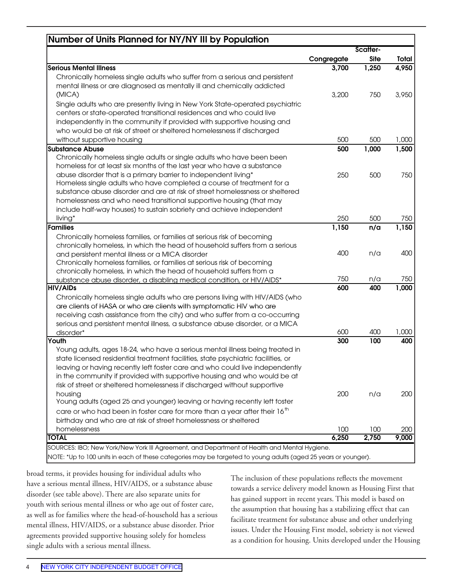| Number of Units Planned for NY/NY III by Population                                   | Scatter-   |             |       |
|---------------------------------------------------------------------------------------|------------|-------------|-------|
|                                                                                       | Congregate | <b>Site</b> | Total |
| <b>Serious Mental Illness</b>                                                         | 3,700      | 1,250       | 4,950 |
| Chronically homeless single adults who suffer from a serious and persistent           |            |             |       |
| mental illness or are diagnosed as mentally ill and chemically addicted               |            |             |       |
| (MICA)                                                                                | 3,200      | 750         | 3,950 |
| Single adults who are presently living in New York State-operated psychiatric         |            |             |       |
| centers or state-operated transitional residences and who could live                  |            |             |       |
| independently in the community if provided with supportive housing and                |            |             |       |
| who would be at risk of street or sheltered homelessness if discharged                |            |             |       |
| without supportive housing                                                            | 500        | 500         | 1,000 |
| <b>Substance Abuse</b>                                                                | 500        | 1,000       | 1,500 |
| Chronically homeless single adults or single adults who have been been                |            |             |       |
| homeless for at least six months of the last year who have a substance                |            |             |       |
| abuse disorder that is a primary barrier to independent living*                       | 250        | 500         | 750   |
| Homeless single adults who have completed a course of treatment for a                 |            |             |       |
| substance abuse disorder and are at risk of street homelessness or sheltered          |            |             |       |
| homelessness and who need transitional supportive housing (that may                   |            |             |       |
| include half-way houses) to sustain sobriety and achieve independent                  |            |             |       |
| living*                                                                               | 250        | 500         | 750   |
| Families                                                                              | 1,150      | n/a         | 1,150 |
| Chronically homeless families, or families at serious risk of becoming                |            |             |       |
| chronically homeless, in which the head of household suffers from a serious           |            |             |       |
| and persistent mental illness or a MICA disorder                                      | 400        | n/a         | 400   |
| Chronically homeless families, or families at serious risk of becoming                |            |             |       |
| chronically homeless, in which the head of household suffers from a                   |            |             |       |
| substance abuse disorder, a disabling medical condition, or HIV/AIDS*                 | 750        | n/a         | 750   |
| <b>HIV/AIDs</b>                                                                       | 600        | 400         | 1,000 |
| Chronically homeless single adults who are persons living with HIV/AIDS (who          |            |             |       |
| are clients of HASA or who are clients with symptomatic HIV who are                   |            |             |       |
| receiving cash assistance from the city) and who suffer from a co-occurring           |            |             |       |
| serious and persistent mental illness, a substance abuse disorder, or a MICA          |            |             |       |
| disorder*                                                                             | 600        | 400         | 1,000 |
| Youth                                                                                 | 300        | 100         | 400   |
| Young adults, ages 18-24, who have a serious mental illness being treated in          |            |             |       |
| state licensed residential treatment facilities, state psychiatric facilities, or     |            |             |       |
| leaving or having recently left foster care and who could live independently          |            |             |       |
| in the community if provided with supportive housing and who would be at              |            |             |       |
| risk of street or sheltered homelessness if discharged without supportive             |            |             |       |
| housing                                                                               | 200        | n/a         | 200   |
| Young adults (aged 25 and younger) leaving or having recently left foster             |            |             |       |
| care or who had been in foster care for more than a year after their 16 <sup>th</sup> |            |             |       |
| birthday and who are at risk of street homelessness or sheltered                      |            |             |       |
| homelessness                                                                          | 100        | 100         | 200   |
| <b>TOTAL</b>                                                                          | 6,250      | 2,750       | 9,000 |

broad terms, it provides housing for individual adults who have a serious mental illness, HIV/AIDS, or a substance abuse disorder (see table above). There are also separate units for youth with serious mental illness or who age out of foster care, as well as for families where the head-of-household has a serious mental illness, HIV/AIDS, or a substance abuse disorder. Prior agreements provided supportive housing solely for homeless single adults with a serious mental illness.

The inclusion of these populations reflects the movement towards a service delivery model known as Housing First that has gained support in recent years. This model is based on the assumption that housing has a stabilizing effect that can facilitate treatment for substance abuse and other underlying issues. Under the Housing First model, sobriety is not viewed as a condition for housing. Units developed under the Housing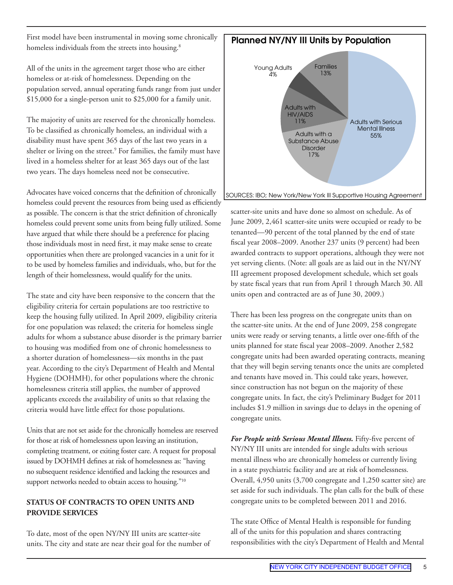First model have been instrumental in moving some chronically homeless individuals from the streets into housing.<sup>8</sup>

All of the units in the agreement target those who are either homeless or at-risk of homelessness. Depending on the population served, annual operating funds range from just under \$15,000 for a single-person unit to \$25,000 for a family unit.

The majority of units are reserved for the chronically homeless. To be classified as chronically homeless, an individual with a disability must have spent 365 days of the last two years in a shelter or living on the street.<sup>9</sup> For families, the family must have lived in a homeless shelter for at least 365 days out of the last two years. The days homeless need not be consecutive.

Advocates have voiced concerns that the definition of chronically homeless could prevent the resources from being used as efficiently as possible. The concern is that the strict definition of chronically homeless could prevent some units from being fully utilized. Some have argued that while there should be a preference for placing those individuals most in need first, it may make sense to create opportunities when there are prolonged vacancies in a unit for it to be used by homeless families and individuals, who, but for the length of their homelessness, would qualify for the units.

The state and city have been responsive to the concern that the eligibility criteria for certain populations are too restrictive to keep the housing fully utilized. In April 2009, eligibility criteria for one population was relaxed; the criteria for homeless single adults for whom a substance abuse disorder is the primary barrier to housing was modified from one of chronic homelessness to a shorter duration of homelessness—six months in the past year. According to the city's Department of Health and Mental Hygiene (DOHMH), for other populations where the chronic homelessness criteria still applies, the number of approved applicants exceeds the availability of units so that relaxing the criteria would have little effect for those populations.

Units that are not set aside for the chronically homeless are reserved for those at risk of homelessness upon leaving an institution, completing treatment, or exiting foster care. A request for proposal issued by DOHMH defines at risk of homelessness as: "having no subsequent residence identified and lacking the resources and support networks needed to obtain access to housing."<sup>10</sup>

#### **STATUS OF CONTRACTS TO OPEN UNITS AND PROVIDE SERVICES**

To date, most of the open NY/NY III units are scatter-site units. The city and state are near their goal for the number of



scatter-site units and have done so almost on schedule. As of June 2009, 2,461 scatter-site units were occupied or ready to be tenanted—90 percent of the total planned by the end of state fiscal year 2008–2009. Another 237 units (9 percent) had been awarded contracts to support operations, although they were not yet serving clients. (Note: all goals are as laid out in the NY/NY III agreement proposed development schedule, which set goals by state fiscal years that run from April 1 through March 30. All units open and contracted are as of June 30, 2009.)

There has been less progress on the congregate units than on the scatter-site units. At the end of June 2009, 258 congregate units were ready or serving tenants, a little over one-fifth of the units planned for state fiscal year 2008–2009. Another 2,582 congregate units had been awarded operating contracts, meaning that they will begin serving tenants once the units are completed and tenants have moved in. This could take years, however, since construction has not begun on the majority of these congregate units. In fact, the city's Preliminary Budget for 2011 includes \$1.9 million in savings due to delays in the opening of congregate units.

*For People with Serious Mental Illness.* Fifty-five percent of NY/NY III units are intended for single adults with serious mental illness who are chronically homeless or currently living in a state psychiatric facility and are at risk of homelessness. Overall, 4,950 units (3,700 congregate and 1,250 scatter site) are set aside for such individuals. The plan calls for the bulk of these congregate units to be completed between 2011 and 2016.

The state Office of Mental Health is responsible for funding all of the units for this population and shares contracting responsibilities with the city's Department of Health and Mental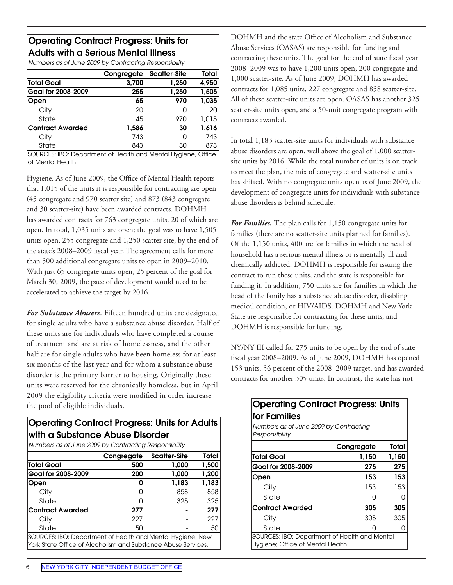#### Operating Contract Progress: Units for Adults with a Serious Mental Illness

*Numbers as of June 2009 by Contracting Responsibility*

|                                                               | Congregate | <b>Scatter-Site</b> | Total |
|---------------------------------------------------------------|------------|---------------------|-------|
| Total Goal                                                    | 3,700      | 1,250               | 4,950 |
| Goal for 2008-2009                                            | 255        | 1,250               | 1,505 |
| Open                                                          | 65         | 970                 | 1,035 |
| City                                                          | 20         | 0                   | 20    |
| State                                                         | 45         | 970                 | 1,015 |
| lContract Awarded                                             | 1,586      | 30                  | 1,616 |
| City                                                          | 743        | 0                   | 743   |
| State                                                         | 843        | 30                  | 873   |
| SOURCES: IBO; Department of Health and Mental Hygiene, Office |            |                     |       |
| of Mental Health.                                             |            |                     |       |

Hygiene. As of June 2009, the Office of Mental Health reports that 1,015 of the units it is responsible for contracting are open (45 congregate and 970 scatter site) and 873 (843 congregate and 30 scatter-site) have been awarded contracts. DOHMH has awarded contracts for 763 congregate units, 20 of which are open. In total, 1,035 units are open; the goal was to have 1,505 units open, 255 congregate and 1,250 scatter-site, by the end of the state's 2008–2009 fiscal year. The agreement calls for more than 500 additional congregate units to open in 2009–2010. With just 65 congregate units open, 25 percent of the goal for March 30, 2009, the pace of development would need to be accelerated to achieve the target by 2016.

*For Substance Abusers*. Fifteen hundred units are designated for single adults who have a substance abuse disorder. Half of these units are for individuals who have completed a course of treatment and are at risk of homelessness, and the other half are for single adults who have been homeless for at least six months of the last year and for whom a substance abuse disorder is the primary barrier to housing. Originally these units were reserved for the chronically homeless, but in April 2009 the eligibility criteria were modified in order increase the pool of eligible individuals.

### Operating Contract Progress: Units for Adults with a Substance Abuse Disorder

*Numbers as of June 2009 by Contracting Responsibility*

|                                                               | Congregate | <b>Scatter-Site</b> | Total |
|---------------------------------------------------------------|------------|---------------------|-------|
| <b>Total Goal</b>                                             | 500        | 1,000               | 1,500 |
| Goal for 2008-2009                                            | 200        | 1,000               | 1,200 |
| Open                                                          | n          | 1,183               | 1,183 |
| City                                                          |            | 858                 | 858   |
| State                                                         |            | 325                 | 325   |
| lContract Awarded                                             | 277        |                     | 277   |
| City                                                          | 227        |                     | 227   |
| State                                                         | 50         |                     | 50    |
| SOURCES: IBO; Department of Health and Mental Hygiene; New    |            |                     |       |
| York State Office of Alcoholism and Substance Abuse Services. |            |                     |       |

DOHMH and the state Office of Alcoholism and Substance Abuse Services (OASAS) are responsible for funding and contracting these units. The goal for the end of state fiscal year 2008–2009 was to have 1,200 units open, 200 congregate and 1,000 scatter-site. As of June 2009, DOHMH has awarded contracts for 1,085 units, 227 congregate and 858 scatter-site. All of these scatter-site units are open. OASAS has another 325 scatter-site units open, and a 50-unit congregate program with contracts awarded.

In total 1,183 scatter-site units for individuals with substance abuse disorders are open, well above the goal of 1,000 scattersite units by 2016. While the total number of units is on track to meet the plan, the mix of congregate and scatter-site units has shifted. With no congregate units open as of June 2009, the development of congregate units for individuals with substance abuse disorders is behind schedule.

*For Families.* The plan calls for 1,150 congregate units for families (there are no scatter-site units planned for families). Of the 1,150 units, 400 are for families in which the head of household has a serious mental illness or is mentally ill and chemically addicted. DOHMH is responsible for issuing the contract to run these units, and the state is responsible for funding it. In addition, 750 units are for families in which the head of the family has a substance abuse disorder, disabling medical condition, or HIV/AIDS. DOHMH and New York State are responsible for contracting for these units, and DOHMH is responsible for funding.

NY/NY III called for 275 units to be open by the end of state fiscal year 2008–2009. As of June 2009, DOHMH has opened 153 units, 56 percent of the 2008–2009 target, and has awarded contracts for another 305 units. In contrast, the state has not

#### Operating Contract Progress: Units for Families

*Numbers as of June 2009 by Contracting Responsibility*

|                                                                                    | Congregate | Total |
|------------------------------------------------------------------------------------|------------|-------|
| Total Goal                                                                         | 1,150      | 1,150 |
| Goal for 2008-2009                                                                 | 275        | 275   |
| Open                                                                               | 153        | 153   |
| City                                                                               | 153        | 153   |
| State                                                                              | N          |       |
| <b>Contract Awarded</b>                                                            | 305        | 305   |
| City                                                                               | 305        | 305   |
| State                                                                              |            |       |
| SOURCES: IBO; Department of Health and Mental<br>Hygiene; Office of Mental Health. |            |       |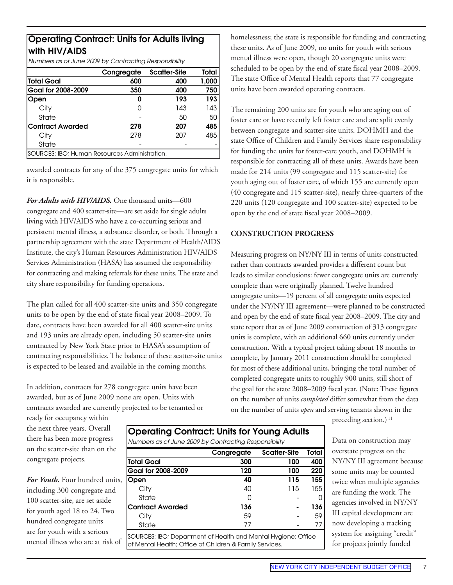#### Operating Contract: Units for Adults living with HIV/AIDS

*Numbers as of June 2009 by Contracting Responsibility*

|                                               | Congregate | <b>Scatter-Site</b> | Total |
|-----------------------------------------------|------------|---------------------|-------|
| Total Goal                                    | 600        | 400                 | 1,000 |
| Goal for 2008-2009                            | 350        | 400                 | 750   |
| Open                                          | n          | 193                 | 193   |
| City                                          |            | 143                 | 143   |
| State                                         |            | 50                  | 50    |
| lContract Awarded                             | 278        | 207                 | 485   |
| City                                          | 278        | 207                 | 485   |
| State                                         |            |                     |       |
| SOURCES: IBO; Human Resources Administration. |            |                     |       |

awarded contracts for any of the 375 congregate units for which it is responsible.

*For Adults with HIV/AIDS.* One thousand units—600 congregate and 400 scatter-site—are set aside for single adults living with HIV/AIDS who have a co-occurring serious and persistent mental illness, a substance disorder, or both. Through a partnership agreement with the state Department of Health/AIDS Institute, the city's Human Resources Administration HIV/AIDS Services Administration (HASA) has assumed the responsibility for contracting and making referrals for these units. The state and city share responsibility for funding operations.

The plan called for all 400 scatter-site units and 350 congregate units to be open by the end of state fiscal year 2008–2009. To date, contracts have been awarded for all 400 scatter-site units and 193 units are already open, including 50 scatter-site units contracted by New York State prior to HASA's assumption of contracting responsibilities. The balance of these scatter-site units is expected to be leased and available in the coming months.

In addition, contracts for 278 congregate units have been awarded, but as of June 2009 none are open. Units with contracts awarded are currently projected to be tenanted or homelessness; the state is responsible for funding and contracting these units. As of June 2009, no units for youth with serious mental illness were open, though 20 congregate units were scheduled to be open by the end of state fiscal year 2008–2009. The state Office of Mental Health reports that 77 congregate units have been awarded operating contracts.

The remaining 200 units are for youth who are aging out of foster care or have recently left foster care and are split evenly between congregate and scatter-site units. DOHMH and the state Office of Children and Family Services share responsibility for funding the units for foster-care youth, and DOHMH is responsible for contracting all of these units. Awards have been made for 214 units (99 congregate and 115 scatter-site) for youth aging out of foster care, of which 155 are currently open (40 congregate and 115 scatter-site), nearly three-quarters of the 220 units (120 congregate and 100 scatter-site) expected to be open by the end of state fiscal year 2008–2009.

#### **CONSTRUCTION PROGRESS**

Measuring progress on NY/NY III in terms of units constructed rather than contracts awarded provides a different count but leads to similar conclusions: fewer congregate units are currently complete than were originally planned. Twelve hundred congregate units—19 percent of all congregate units expected under the NY/NY III agreement—were planned to be constructed and open by the end of state fiscal year 2008–2009. The city and state report that as of June 2009 construction of 313 congregate units is complete, with an additional 660 units currently under construction. With a typical project taking about 18 months to complete, by January 2011 construction should be completed for most of these additional units, bringing the total number of completed congregate units to roughly 900 units, still short of the goal for the state 2008–2009 fiscal year. (Note: These figures on the number of units *completed* differ somewhat from the data on the number of units *open* and serving tenants shown in the

ready for occupancy within the next three years. Overall there has been more progress on the scatter-site than on the congregate projects.

*For Youth.* Four hundred units, including 300 congregate and 100 scatter-site, are set aside for youth aged 18 to 24. Two hundred congregate units are for youth with a serious mental illness who are at risk of

| <b>Operating Contract: Units for Young Adults</b>     |
|-------------------------------------------------------|
| Numbers as of June 2009 by Contracting Responsibility |

|                                                                                                                          | Congregate | <b>Scatter-Site</b> | <b>Total</b> |
|--------------------------------------------------------------------------------------------------------------------------|------------|---------------------|--------------|
| <b>Total Goal</b>                                                                                                        | 300        | 100                 | 400          |
| Goal for 2008-2009                                                                                                       | 120        | 100                 | 220          |
| Open                                                                                                                     | 40         | 115                 | 155          |
| City                                                                                                                     | 40         | 115                 | 155          |
| State                                                                                                                    |            |                     |              |
| Contract Awarded                                                                                                         | 136        |                     | 136          |
| City                                                                                                                     | 59         |                     | 59           |
| State                                                                                                                    | 77         |                     | 77           |
| SOURCES: IBO; Department of Health and Mental Hygiene; Office<br>of Mental Health; Office of Children & Family Services. |            |                     |              |

preceding section.)<sup>11</sup>

Data on construction may overstate progress on the NY/NY III agreement because some units may be counted twice when multiple agencies are funding the work. The agencies involved in NY/NY III capital development are now developing a tracking system for assigning "credit" for projects jointly funded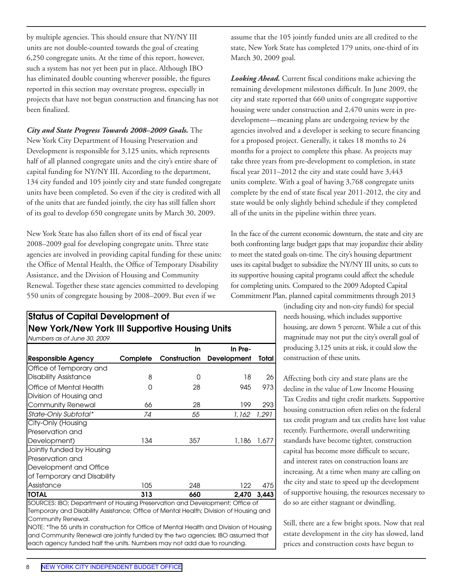by multiple agencies. This should ensure that NY/NY III units are not double-counted towards the goal of creating 6,250 congregate units. At the time of this report, however, such a system has not yet been put in place. Although IBO has eliminated double counting wherever possible, the figures reported in this section may overstate progress, especially in projects that have not begun construction and financing has not been finalized.

*City and State Progress Towards 2008–2009 Goals.* The New York City Department of Housing Preservation and Development is responsible for 3,125 units, which represents half of all planned congregate units and the city's entire share of capital funding for NY/NY III. According to the department, 134 city funded and 105 jointly city and state funded congregate units have been completed. So even if the city is credited with all of the units that are funded jointly, the city has still fallen short of its goal to develop 650 congregate units by March 30, 2009.

New York State has also fallen short of its end of fiscal year 2008–2009 goal for developing congregate units. Three state agencies are involved in providing capital funding for these units: the Office of Mental Health, the Office of Temporary Disability Assistance, and the Division of Housing and Community Renewal. Together these state agencies committed to developing 550 units of congregate housing by 2008–2009. But even if we

#### Status of Capital Development of New York/New York III Supportive Housing Units *Numbers as of June 30, 2009*

| In Pre-<br><b>Development</b><br>18<br>945 | Total<br>26 |
|--------------------------------------------|-------------|
|                                            |             |
|                                            |             |
|                                            |             |
|                                            |             |
|                                            | 973         |
| 199                                        | 293         |
| 1.162                                      | 1.291       |
|                                            |             |
|                                            |             |
| 1,186                                      | 1.677       |
|                                            |             |
|                                            |             |
|                                            |             |
|                                            |             |
| 122                                        | 475         |
| 2.470                                      | 3.443       |
|                                            |             |

SOURCES: IBO; Department of Housing Preservation and Development; Office of Temporary and Disability Assistance; Office of Mental Health; Division of Housing and Community Renewal.

NOTE: \*The 55 units in construction for Office of Mental Health and Division of Housing and Community Renewal are jointly funded by the two agencies; IBO assumed that each agency funded half the units. Numbers may not add due to rounding.

assume that the 105 jointly funded units are all credited to the state, New York State has completed 179 units, one-third of its March 30, 2009 goal.

*Looking Ahead.* Current fiscal conditions make achieving the remaining development milestones difficult. In June 2009, the city and state reported that 660 units of congregate supportive housing were under construction and 2,470 units were in predevelopment—meaning plans are undergoing review by the agencies involved and a developer is seeking to secure financing for a proposed project. Generally, it takes 18 months to 24 months for a project to complete this phase. As projects may take three years from pre-development to completion, in state fiscal year 2011–2012 the city and state could have 3,443 units complete. With a goal of having 3,768 congregate units complete by the end of state fiscal year 2011-2012, the city and state would be only slightly behind schedule if they completed all of the units in the pipeline within three years.

In the face of the current economic downturn, the state and city are both confronting large budget gaps that may jeopardize their ability to meet the stated goals on-time. The city's housing department uses its capital budget to subsidize the NY/NY III units, so cuts to its supportive housing capital programs could affect the schedule for completing units. Compared to the 2009 Adopted Capital Commitment Plan, planned capital commitments through 2013

> (including city and non-city funds) for special needs housing, which includes supportive housing, are down 5 percent. While a cut of this magnitude may not put the city's overall goal of producing 3,125 units at risk, it could slow the construction of these units.

Affecting both city and state plans are the decline in the value of Low Income Housing Tax Credits and tight credit markets. Supportive housing construction often relies on the federal tax credit program and tax credits have lost value recently. Furthermore, overall underwriting standards have become tighter, construction capital has become more difficult to secure, and interest rates on construction loans are increasing. At a time when many are calling on the city and state to speed up the development of supportive housing, the resources necessary to do so are either stagnant or dwindling.

Still, there are a few bright spots. Now that real estate development in the city has slowed, land prices and construction costs have begun to